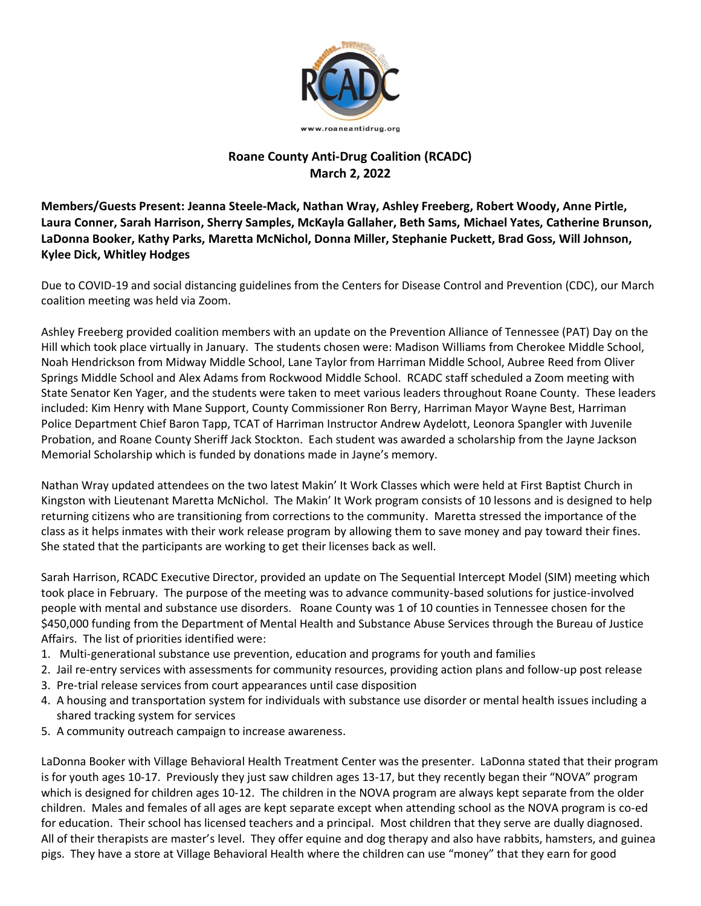

## **Roane County Anti-Drug Coalition (RCADC) March 2, 2022**

**Members/Guests Present: Jeanna Steele-Mack, Nathan Wray, Ashley Freeberg, Robert Woody, Anne Pirtle, Laura Conner, Sarah Harrison, Sherry Samples, McKayla Gallaher, Beth Sams, Michael Yates, Catherine Brunson, LaDonna Booker, Kathy Parks, Maretta McNichol, Donna Miller, Stephanie Puckett, Brad Goss, Will Johnson, Kylee Dick, Whitley Hodges**

Due to COVID-19 and social distancing guidelines from the Centers for Disease Control and Prevention (CDC), our March coalition meeting was held via Zoom.

Ashley Freeberg provided coalition members with an update on the Prevention Alliance of Tennessee (PAT) Day on the Hill which took place virtually in January. The students chosen were: Madison Williams from Cherokee Middle School, Noah Hendrickson from Midway Middle School, Lane Taylor from Harriman Middle School, Aubree Reed from Oliver Springs Middle School and Alex Adams from Rockwood Middle School. RCADC staff scheduled a Zoom meeting with State Senator Ken Yager, and the students were taken to meet various leaders throughout Roane County. These leaders included: Kim Henry with Mane Support, County Commissioner Ron Berry, Harriman Mayor Wayne Best, Harriman Police Department Chief Baron Tapp, TCAT of Harriman Instructor Andrew Aydelott, Leonora Spangler with Juvenile Probation, and Roane County Sheriff Jack Stockton. Each student was awarded a scholarship from the Jayne Jackson Memorial Scholarship which is funded by donations made in Jayne's memory.

Nathan Wray updated attendees on the two latest Makin' It Work Classes which were held at First Baptist Church in Kingston with Lieutenant Maretta McNichol. The Makin' It Work program consists of 10 lessons and is designed to help returning citizens who are transitioning from corrections to the community. Maretta stressed the importance of the class as it helps inmates with their work release program by allowing them to save money and pay toward their fines. She stated that the participants are working to get their licenses back as well.

Sarah Harrison, RCADC Executive Director, provided an update on The Sequential Intercept Model (SIM) meeting which took place in February. The purpose of the meeting was to advance community-based solutions for justice-involved people with mental and substance use disorders. Roane County was 1 of 10 counties in Tennessee chosen for the \$450,000 funding from the Department of Mental Health and Substance Abuse Services through the Bureau of Justice Affairs. The list of priorities identified were:

- 1. Multi-generational substance use prevention, education and programs for youth and families
- 2. Jail re-entry services with assessments for community resources, providing action plans and follow-up post release
- 3. Pre-trial release services from court appearances until case disposition
- 4. A housing and transportation system for individuals with substance use disorder or mental health issues including a shared tracking system for services
- 5. A community outreach campaign to increase awareness.

LaDonna Booker with Village Behavioral Health Treatment Center was the presenter. LaDonna stated that their program is for youth ages 10-17. Previously they just saw children ages 13-17, but they recently began their "NOVA" program which is designed for children ages 10-12. The children in the NOVA program are always kept separate from the older children. Males and females of all ages are kept separate except when attending school as the NOVA program is co-ed for education. Their school has licensed teachers and a principal. Most children that they serve are dually diagnosed. All of their therapists are master's level. They offer equine and dog therapy and also have rabbits, hamsters, and guinea pigs. They have a store at Village Behavioral Health where the children can use "money" that they earn for good